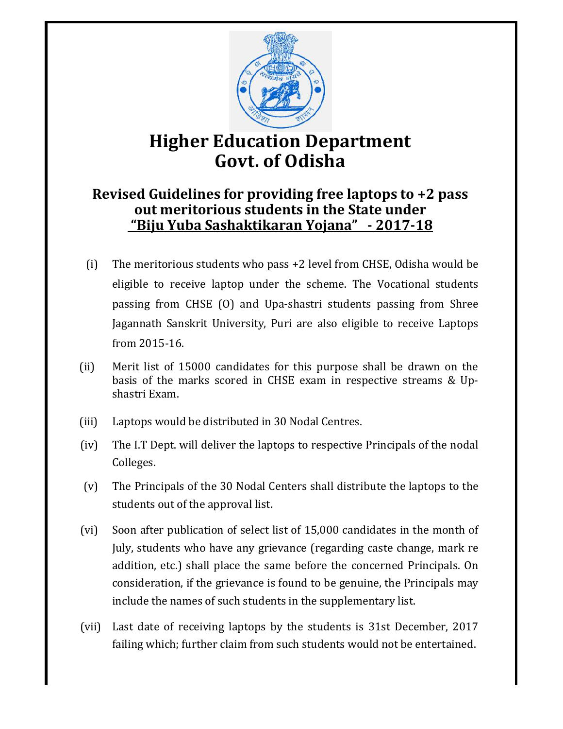

# **Higher Education Department Govt. of Odisha**

# **Revised Guidelines for providing free laptops to +2 pass out meritorious students in the State under "Biju Yuba Sashaktikaran Yojana" - 2017-18**

- (i) The meritorious students who pass +2 level from CHSE, Odisha would be eligible to receive laptop under the scheme. The Vocational students passing from CHSE (O) and Upa-shastri students passing from Shree Jagannath Sanskrit University, Puri are also eligible to receive Laptops from 2015-16.
- (ii) Merit list of 15000 candidates for this purpose shall be drawn on the basis of the marks scored in CHSE exam in respective streams & Upshastri Exam.
- (iii) Laptops would be distributed in 30 Nodal Centres.
- (iv) The I.T Dept. will deliver the laptops to respective Principals of the nodal Colleges.
- (v) The Principals of the 30 Nodal Centers shall distribute the laptops to the students out of the approval list.
- (vi) Soon after publication of select list of 15,000 candidates in the month of July, students who have any grievance (regarding caste change, mark re addition, etc.) shall place the same before the concerned Principals. On consideration, if the grievance is found to be genuine, the Principals may include the names of such students in the supplementary list.
- (vii) Last date of receiving laptops by the students is 31st December, 2017 failing which; further claim from such students would not be entertained.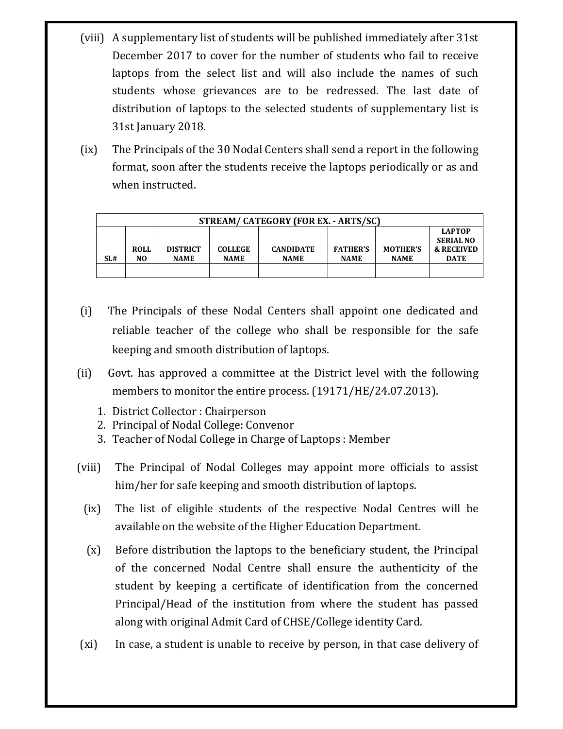- (viii) A supplementary list of students will be published immediately after 31st December 2017 to cover for the number of students who fail to receive laptops from the select list and will also include the names of such students whose grievances are to be redressed. The last date of distribution of laptops to the selected students of supplementary list is 31st January 2018.
- (ix) The Principals of the 30 Nodal Centers shall send a report in the following format, soon after the students receive the laptops periodically or as and when instructed.

| STREAM/ CATEGORY (FOR EX. - ARTS/SC) |                   |                                |                               |                                 |                                |                                |                                                                           |  |  |  |
|--------------------------------------|-------------------|--------------------------------|-------------------------------|---------------------------------|--------------------------------|--------------------------------|---------------------------------------------------------------------------|--|--|--|
| SL#                                  | <b>ROLL</b><br>NO | <b>DISTRICT</b><br><b>NAME</b> | <b>COLLEGE</b><br><b>NAME</b> | <b>CANDIDATE</b><br><b>NAME</b> | <b>FATHER'S</b><br><b>NAME</b> | <b>MOTHER'S</b><br><b>NAME</b> | <b>LAPTOP</b><br><b>SERIAL NO</b><br><b>&amp; RECEIVED</b><br><b>DATE</b> |  |  |  |
|                                      |                   |                                |                               |                                 |                                |                                |                                                                           |  |  |  |

- (i) The Principals of these Nodal Centers shall appoint one dedicated and reliable teacher of the college who shall be responsible for the safe keeping and smooth distribution of laptops.
- (ii) Govt. has approved a committee at the District level with the following members to monitor the entire process. (19171/HE/24.07.2013).
	- 1. District Collector : Chairperson
	- 2. Principal of Nodal College: Convenor
	- 3. Teacher of Nodal College in Charge of Laptops : Member
- (viii) The Principal of Nodal Colleges may appoint more officials to assist him/her for safe keeping and smooth distribution of laptops.
	- (ix) The list of eligible students of the respective Nodal Centres will be available on the website of the Higher Education Department.
	- (x) Before distribution the laptops to the beneficiary student, the Principal of the concerned Nodal Centre shall ensure the authenticity of the student by keeping a certificate of identification from the concerned Principal/Head of the institution from where the student has passed along with original Admit Card of CHSE/College identity Card.
- (xi) In case, a student is unable to receive by person, in that case delivery of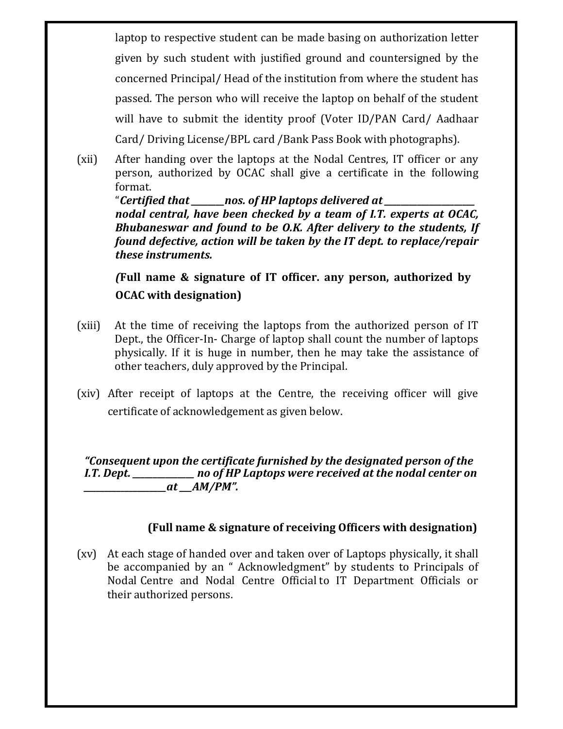laptop to respective student can be made basing on authorization letter given by such student with justified ground and countersigned by the concerned Principal/ Head of the institution from where the student has passed. The person who will receive the laptop on behalf of the student will have to submit the identity proof (Voter ID/PAN Card/ Aadhaar Card/ Driving License/BPL card /Bank Pass Book with photographs).

(xii) After handing over the laptops at the Nodal Centres, IT officer or any person, authorized by OCAC shall give a certificate in the following format.

"*Certified that \_\_\_\_\_\_\_\_nos. of HP laptops delivered at \_\_\_\_\_\_\_\_\_\_\_\_\_\_\_\_\_\_\_\_\_\_ nodal central, have been checked by a team of I.T. experts at OCAC, Bhubaneswar and found to be O.K. After delivery to the students, If found defective, action will be taken by the IT dept. to replace/repair these instruments.* 

*(***Full name & signature of IT officer. any person, authorized by OCAC with designation)** 

- (xiii) At the time of receiving the laptops from the authorized person of IT Dept., the Officer-In- Charge of laptop shall count the number of laptops physically. If it is huge in number, then he may take the assistance of other teachers, duly approved by the Principal.
- (xiv) After receipt of laptops at the Centre, the receiving officer will give certificate of acknowledgement as given below.

*"Consequent upon the certificate furnished by the designated person of the I.T. Dept. \_\_\_\_\_\_\_\_\_\_\_\_\_\_\_ no of HP Laptops were received at the nodal center on \_\_\_\_\_\_\_\_\_\_\_\_\_\_\_\_\_\_\_\_at \_\_\_AM/PM".*

### **(Full name & signature of receiving Officers with designation)**

(xv) At each stage of handed over and taken over of Laptops physically, it shall be accompanied by an " Acknowledgment" by students to Principals of Nodal Centre and Nodal Centre Official to IT Department Officials or their authorized persons.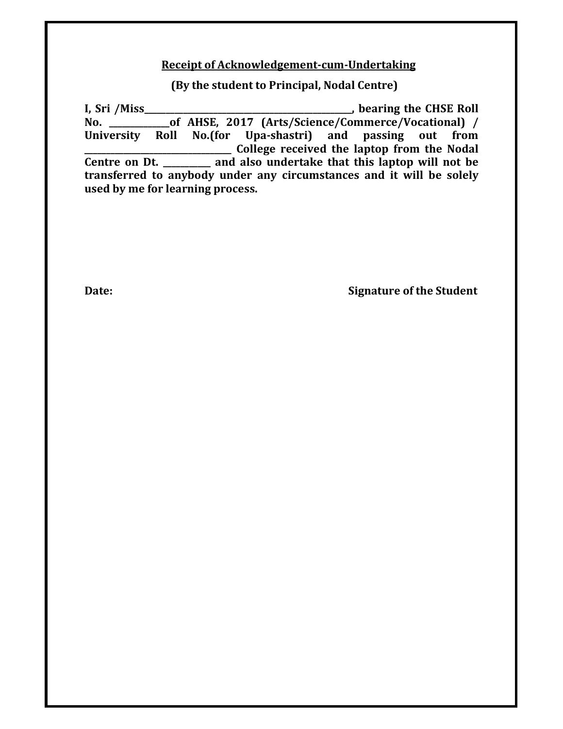#### **Receipt of Acknowledgement-cum-Undertaking**

**(By the student to Principal, Nodal Centre)**

**I, Sri /Miss\_\_\_\_\_\_\_\_\_\_\_\_\_\_\_\_\_\_\_\_\_\_\_\_\_\_\_\_\_\_\_\_\_\_\_\_\_\_\_\_\_\_\_\_\_\_\_\_, bearing the CHSE Roll of AHSE, 2017 (Arts/Science/Commerce/Vocational) / University Roll No.(for Upa-shastri) and passing out from \_\_\_\_\_\_\_\_\_\_\_\_\_\_\_\_\_\_\_\_\_\_\_\_\_\_\_\_\_\_\_\_\_\_ College received the laptop from the Nodal Centre on Dt. \_\_\_\_\_\_\_\_\_\_\_ and also undertake that this laptop will not be transferred to anybody under any circumstances and it will be solely used by me for learning process.**

**Date: Signature of the Student**